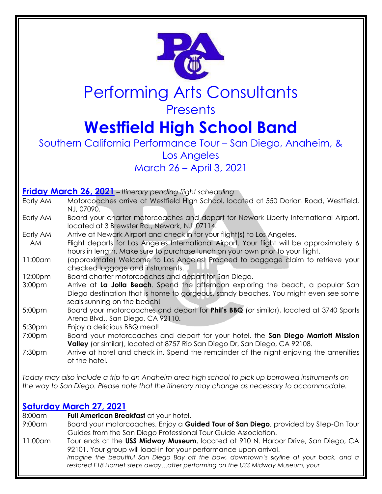

# Performing Arts Consultants **Presents**

# **Westfield High School Band**

Southern California Performance Tour – San Diego, Anaheim, &

Los Angeles

March 26 – April 3, 2021

**Friday March 26, 2021** – *Itinerary pending flight scheduling*

- Early AM Motorcoaches arrive at Westfield High School, located at 550 Dorian Road, Westfield, NJ, 07090.
- Early AM Board your charter motorcoaches and depart for Newark Liberty International Airport, located at 3 Brewster Rd., Newark, NJ 07114.
- Early AM Arrive at Newark Airport and check in for your flight(s) to Los Angeles.
- AM Flight departs for Los Angeles International Airport. Your flight will be approximately 6 hours in length. Make sure to purchase lunch on your own prior to your flight.
- 11:00am (approximate) Welcome to Los Angeles! Proceed to baggage claim to retrieve your checked luggage and instruments.
- 12:00pm Board charter motorcoaches and depart for San Diego.
- 3:00pm Arrive at **La Jolla Beach**. Spend the afternoon exploring the beach, a popular San Diego destination that is home to gorgeous, sandy beaches. You might even see some seals sunning on the beach!
- 5:00pm Board your motorcoaches and depart for **Phil's BBQ** (or similar), located at 3740 Sports Arena Blvd., San Diego, CA 92110.
- 5:30pm Enjoy a delicious BBQ meal!
- 7:00pm Board your motorcoaches and depart for your hotel, the **San Diego Marriott Mission Valley** (or similar), located at 8757 Rio San Diego Dr, San Diego, CA 92108.
- 7:30pm Arrive at hotel and check in. Spend the remainder of the night enjoying the amenities of the hotel.

*Today may also include a trip to an Anaheim area high school to pick up borrowed instruments on the way to San Diego. Please note that the itinerary may change as necessary to accommodate.*

# **Saturday March 27, 2021**

8:00am **Full American Breakfast** at your hotel. 9:00am Board your motorcoaches. Enjoy a **Guided Tour of San Diego**, provided by Step-On Tour Guides from the San Diego Professional Tour Guide Association. 11:00am Tour ends at the **USS Midway Museum**, located at 910 N. Harbor Drive, San Diego, CA 92101. Your group will load-in for your performance upon arrival. *Imagine the beautiful San Diego Bay off the bow, downtown's skyline at your back, and a*  restored F18 Hornet steps away...after performing on the USS Midway Museum, your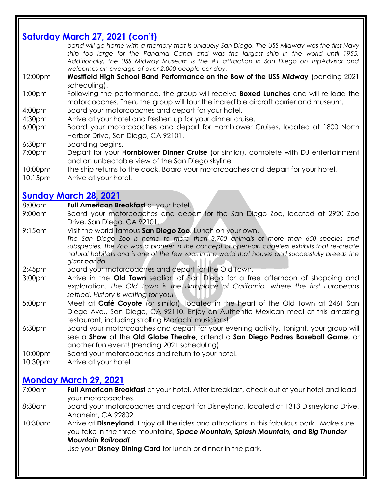# **Saturday March 27, 2021 (con't)**

*band will go home with a memory that is uniquely San Diego. The USS Midway was the first Navy ship too large for the Panama Canal and was the largest ship in the world until 1955. Additionally, the USS Midway Museum is the #1 attraction in San Diego on TripAdvisor and welcomes an average of over 2,000 people per day.*

- 12:00pm **Westfield High School Band Performance on the Bow of the USS Midway** (pending 2021 scheduling).
- 1:00pm Following the performance, the group will receive **Boxed Lunches** and will re-load the motorcoaches. Then, the group will tour the incredible aircraft carrier and museum.
- 4:00pm Board your motorcoaches and depart for your hotel.
- 4:30pm Arrive at your hotel and freshen up for your dinner cruise.
- 6:00pm Board your motorcoaches and depart for Hornblower Cruises, located at 1800 North Harbor Drive, San Diego, CA 92101.
- 6:30pm Boarding begins.
- 7:00pm Depart for your **Hornblower Dinner Cruise** (or similar), complete with DJ entertainment and an unbeatable view of the San Diego skyline!
- 10:00pm The ship returns to the dock. Board your motorcoaches and depart for your hotel.
- 10:15pm Arrive at your hotel.

## **Sunday March 28, 2021**

- 8:00am **Full American Breakfast** at your hotel.
- 9:00am Board your motorcoaches and depart for the San Diego Zoo, located at 2920 Zoo Drive, San Diego, CA 92101.
- 9:15am Visit the world-famous **San Diego Zoo**. Lunch on your own. *The San Diego Zoo is home to more than 3,700 animals of more than 650 species and subspecies. The Zoo was a pioneer in the concept of open-air, cageless exhibits that re-create natural habitats and is one of the few zoos in the world that houses and successfully breeds the giant panda.*
- 2:45pm Board your motorcoaches and depart for the Old Town.
- 3:00pm Arrive in the **Old Town** section of San Diego for a free afternoon of shopping and exploration. *The Old Town is the Birthplace of California, where the first Europeans settled. History is waiting for you!*
- 5:00pm Meet at **Café Coyote** (or similar), located in the heart of the Old Town at 2461 San Diego Ave., San Diego, CA 92110. Enjoy an Authentic Mexican meal at this amazing restaurant, including strolling Mariachi musicians!
- 6:30pm Board your motorcoaches and depart for your evening activity. Tonight, your group will see a **Show** at the **Old Globe Theatre**, attend a **San Diego Padres Baseball Game**, or another fun event! (Pending 2021 scheduling)
- 10:00pm Board your motorcoaches and return to your hotel.
- 10:30pm Arrive at your hotel.

## **Monday March 29, 2021**

- 7:00am **Full American Breakfast** at your hotel. After breakfast, check out of your hotel and load your motorcoaches.
- 8:30am Board your motorcoaches and depart for Disneyland, located at 1313 Disneyland Drive, Anaheim, CA 92802.
- 10:30am Arrive at **Disneyland**. Enjoy all the rides and attractions in this fabulous park. Make sure you take in the three mountains, *Space Mountain, Splash Mountain, and Big Thunder Mountain Railroad!*

Use your **Disney Dining Card** for lunch or dinner in the park.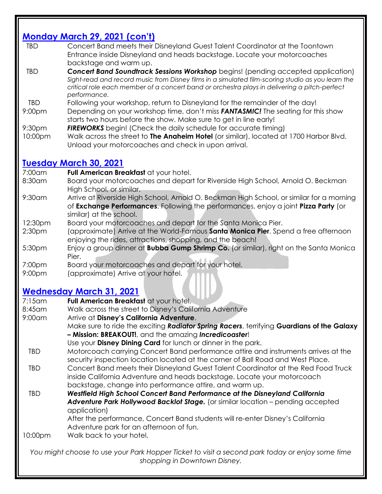# **Monday March 29, 2021 (con't)**

- TBD Concert Band meets their Disneyland Guest Talent Coordinator at the Toontown Entrance inside Disneyland and heads backstage. Locate your motorcoaches backstage and warm up.
- TBD *Concert Band Soundtrack Sessions Workshop* begins! (pending accepted application) Sight-read and record music from Disney films in a simulated film-scoring studio as you learn the *critical role each member of a concert band or orchestra plays in delivering a pitch-perfect performance.*
- TBD Following your workshop, return to Disneyland for the remainder of the day!
- 9:00pm Depending on your workshop time, don't miss *FANTASMIC!* The seating for this show starts two hours before the show. Make sure to get in line early!
- 9:30pm *FIREWORKS* begin! (Check the daily schedule for accurate timing)
- 10:00pm Walk across the street to **The Anaheim Hotel** (or similar), located at 1700 Harbor Blvd. Unload your motorcoaches and check in upon arrival.

## **Tuesday March 30, 2021**

- 7:00am **Full American Breakfast** at your hotel.
- 8:30am Board your motorcoaches and depart for Riverside High School, Arnold O. Beckman High School, or similar.
- 9:30am Arrive at Riverside High School, Arnold O. Beckman High School, or similar for a morning of **Exchange Performances**. Following the performances, enjoy a joint **Pizza Party** (or similar) at the school.
- 12:30pm Board your motorcoaches and depart for the Santa Monica Pier.
- 2:30pm (approximate) Arrive at the World-Famous **Santa Monica Pier**. Spend a free afternoon enjoying the rides, attractions, shopping, and the beach!
- 5:30pm Enjoy a group dinner at **Bubba Gump Shrimp Co.** (or similar), right on the Santa Monica Pier.
- 7:00pm Board your motorcoaches and depart for your hotel.
- 9:00pm (approximate) Arrive at your hotel.

## **Wednesday March 31, 2021**

- 7:15am **Full American Breakfast** at your hotel.
- 8:45am Walk across the street to Disney's California Adventure
- 9:00am Arrive at **Disney's California Adventure**.
	- Make sure to ride the exciting *Radiator Spring Racers*, terrifying **Guardians of the Galaxy – Mission: BREAKOUT!**, and the amazing *Incredicoaster*!

Use your **Disney Dining Card** for lunch or dinner in the park.

- TBD Motorcoach carrying Concert Band performance attire and instruments arrives at the security inspection location located at the corner of Ball Road and West Place.
- TBD Concert Band meets their Disneyland Guest Talent Coordinator at the Red Food Truck inside California Adventure and heads backstage. Locate your motorcoach backstage, change into performance attire, and warm up.
- TBD *Westfield High School Concert Band Performance at the Disneyland California Adventure Park Hollywood Backlot Stage.* (or similar location – pending accepted application)

After the performance, Concert Band students will re-enter Disney's California Adventure park for an afternoon of fun.

10:00pm Walk back to your hotel.

*You might choose to use your Park Hopper Ticket to visit a second park today or enjoy some time shopping in Downtown Disney.*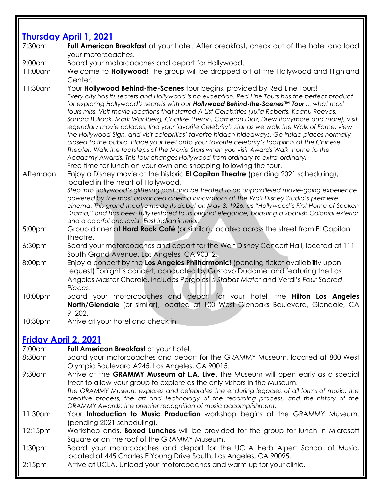| <u><b>Thursday April 1, 2021</b></u> |                                                                                                                                                                                                                                                                                                                                                                                                                                                                                                                                                                                                                                                                                                                                                                                                                                                                                                                                                                                                                                         |  |  |
|--------------------------------------|-----------------------------------------------------------------------------------------------------------------------------------------------------------------------------------------------------------------------------------------------------------------------------------------------------------------------------------------------------------------------------------------------------------------------------------------------------------------------------------------------------------------------------------------------------------------------------------------------------------------------------------------------------------------------------------------------------------------------------------------------------------------------------------------------------------------------------------------------------------------------------------------------------------------------------------------------------------------------------------------------------------------------------------------|--|--|
| 7:30am                               | Full American Breakfast at your hotel. After breakfast, check out of the hotel and load                                                                                                                                                                                                                                                                                                                                                                                                                                                                                                                                                                                                                                                                                                                                                                                                                                                                                                                                                 |  |  |
|                                      | your motorcoaches.                                                                                                                                                                                                                                                                                                                                                                                                                                                                                                                                                                                                                                                                                                                                                                                                                                                                                                                                                                                                                      |  |  |
| $9:00$ am                            | Board your motorcoaches and depart for Hollywood.                                                                                                                                                                                                                                                                                                                                                                                                                                                                                                                                                                                                                                                                                                                                                                                                                                                                                                                                                                                       |  |  |
| 11:00am                              | Welcome to Hollywood! The group will be dropped off at the Hollywood and Highland<br>Center.                                                                                                                                                                                                                                                                                                                                                                                                                                                                                                                                                                                                                                                                                                                                                                                                                                                                                                                                            |  |  |
| 11:30am                              | Your Hollywood Behind-the-Scenes tour begins, provided by Red Line Tours!<br>Every city has its secrets and Hollywood is no exception. Red Line Tours has the perfect product<br>for exploring Hollywood's secrets with our <b>Hollywood Behind-the-Scenes™ Tour</b> what most<br>tours miss. Visit movie locations that starred A-List Celebrities (Julia Roberts, Keanu Reeves,<br>Sandra Bullock, Mark Wahlberg, Charlize Theron, Cameron Diaz, Drew Barrymore and more), visit<br>legendary movie palaces, find your favorite Celebrity's star as we walk the Walk of Fame, view<br>the Hollywood Sign, and visit celebrities' favorite hidden hideaways. Go inside places normally<br>closed to the public. Place your feet onto your favorite celebrity's footprints at the Chinese<br>Theater. Walk the footsteps of the Movie Stars when you visit Awards Walk, home to the<br>Academy Awards. This tour changes Hollywood from ordinary to extra-ordinary!<br>Free time for lunch on your own and shopping following the tour. |  |  |
| Afternoon                            | Enjoy a Disney movie at the historic <b>El Capitan Theatre</b> (pending 2021 scheduling),                                                                                                                                                                                                                                                                                                                                                                                                                                                                                                                                                                                                                                                                                                                                                                                                                                                                                                                                               |  |  |
|                                      | located in the heart of Hollywood.<br>Step into Hollywood's glittering past and be treated to an unparalleled movie-going experience<br>powered by the most advanced cinema innovations at The Walt Disney Studio's premiere<br>cinema. This grand theatre made its debut on May 3, 1926, as "Hollywood's First Home of Spoken<br>Drama," and has been fully restored to its original elegance, boasting a Spanish Colonial exterior<br>and a colorful and lavish East Indian interior.                                                                                                                                                                                                                                                                                                                                                                                                                                                                                                                                                 |  |  |
| 5:00pm                               | Group dinner at Hard Rock Café (or similar), located across the street from El Capitan<br>Theatre.                                                                                                                                                                                                                                                                                                                                                                                                                                                                                                                                                                                                                                                                                                                                                                                                                                                                                                                                      |  |  |
| 6:30pm                               | Board your motorcoaches and depart for the Walt Disney Concert Hall, located at 111<br>South Grand Avenue, Los Angeles, CA 90012.                                                                                                                                                                                                                                                                                                                                                                                                                                                                                                                                                                                                                                                                                                                                                                                                                                                                                                       |  |  |
| 8:00pm                               | Enjoy a concert by the Los Angeles Philharmonic! (pending ticket availability upon<br>request) Tonight's concert, conducted by Gustavo Dudamel and featuring the Los<br>Angeles Master Chorale, includes Pergolesi's Stabat Mater and Verdi's Four Sacred<br>Pieces.                                                                                                                                                                                                                                                                                                                                                                                                                                                                                                                                                                                                                                                                                                                                                                    |  |  |
| 10:00pm                              | Board your motorcoaches and depart for your hotel, the <b>Hilton Los Angeles</b><br>North/Glendale (or similar), located at 100 West Glenoaks Boulevard, Glendale, CA<br>91202.                                                                                                                                                                                                                                                                                                                                                                                                                                                                                                                                                                                                                                                                                                                                                                                                                                                         |  |  |
| 10:30pm                              | Arrive at your hotel and check in.                                                                                                                                                                                                                                                                                                                                                                                                                                                                                                                                                                                                                                                                                                                                                                                                                                                                                                                                                                                                      |  |  |
|                                      |                                                                                                                                                                                                                                                                                                                                                                                                                                                                                                                                                                                                                                                                                                                                                                                                                                                                                                                                                                                                                                         |  |  |
| <u>Friday April 2, 2021</u>          |                                                                                                                                                                                                                                                                                                                                                                                                                                                                                                                                                                                                                                                                                                                                                                                                                                                                                                                                                                                                                                         |  |  |
| 7:00am                               | Full American Breakfast at your hotel.                                                                                                                                                                                                                                                                                                                                                                                                                                                                                                                                                                                                                                                                                                                                                                                                                                                                                                                                                                                                  |  |  |
| 8:30am                               | Board your motorcoaches and depart for the GRAMMY Museum, located at 800 West<br>Olympic Boulevard A245, Los Angeles, CA 90015.                                                                                                                                                                                                                                                                                                                                                                                                                                                                                                                                                                                                                                                                                                                                                                                                                                                                                                         |  |  |
| $9:30$ am                            | Arrive at the GRAMMY Museum at L.A. Live. The Museum will open early as a special<br>treat to allow your group to explore as the only visitors in the Museum!<br>The GRAMMY Museum explores and celebrates the enduring legacies of all forms of music, the<br>creative process, the art and technology of the recording process, and the history of the<br>GRAMMY Awards: the premier recognition of music accomplishment.                                                                                                                                                                                                                                                                                                                                                                                                                                                                                                                                                                                                             |  |  |
| 11:30am                              | Your Introduction to Music Production workshop begins at the GRAMMY Museum.<br>(pending 2021 scheduling).                                                                                                                                                                                                                                                                                                                                                                                                                                                                                                                                                                                                                                                                                                                                                                                                                                                                                                                               |  |  |
| 12:15 <sub>pm</sub>                  | Workshop ends. <b>Boxed Lunches</b> will be provided for the group for lunch in Microsoft<br>Square or on the roof of the GRAMMY Museum.                                                                                                                                                                                                                                                                                                                                                                                                                                                                                                                                                                                                                                                                                                                                                                                                                                                                                                |  |  |
| 1:30 <sub>pm</sub>                   | Board your motorcoaches and depart for the UCLA Herb Alpert School of Music,<br>located at 445 Charles E Young Drive South, Los Angeles, CA 90095.                                                                                                                                                                                                                                                                                                                                                                                                                                                                                                                                                                                                                                                                                                                                                                                                                                                                                      |  |  |

2:15pm Arrive at UCLA. Unload your motorcoaches and warm up for your clinic.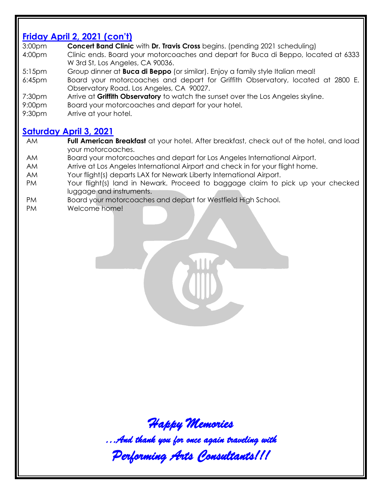## **Friday April 2, 2021 (con't)**

3:00pm **Concert Band Clinic** with **Dr. Travis Cross** begins. (pending 2021 scheduling)

4:00pm Clinic ends. Board your motorcoaches and depart for Buca di Beppo, located at 6333 W 3rd St, Los Angeles, CA 90036.

- 5:15pm Group dinner at **Buca di Beppo** (or similar). Enjoy a family style Italian meal!
- 6:45pm Board your motorcoaches and depart for Griffith Observatory, located at 2800 E. Observatory Road, Los Angeles, CA 90027.
- 7:30pm Arrive at **Griffith Observatory** to watch the sunset over the Los Angeles skyline.
- 9:00pm Board your motorcoaches and depart for your hotel.
- 9:30pm Arrive at your hotel.

## **Saturday April 3, 2021**

- AM **Full American Breakfast** at your hotel. After breakfast, check out of the hotel, and load your motorcoaches.
- AM Board your motorcoaches and depart for Los Angeles International Airport.
- AM Arrive at Los Angeles International Airport and check in for your flight home.
- AM Your flight(s) departs LAX for Newark Liberty International Airport.
- PM Your flight(s) land in Newark. Proceed to baggage claim to pick up your checked luggage and instruments.
- PM Board your motorcoaches and depart for Westfield High School.
- PM Welcome home!

*Happy Memories* 

*…And thank you for once again traveling with* 

*Performing Arts Consultants!!!*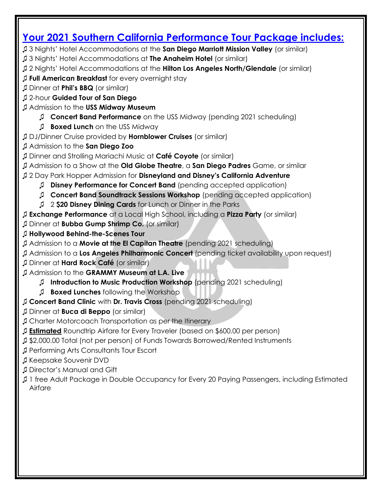# **Your 2021 Southern California Performance Tour Package includes:**

- ♫ 3 Nights' Hotel Accommodations at the **San Diego Marriott Mission Valley** (or similar)
- ♫ 3 Nights' Hotel Accommodations at **The Anaheim Hotel** (or similar)
- ♫ 2 Nights' Hotel Accommodations at the **Hilton Los Angeles North/Glendale** (or similar)
- ♫ **Full American Breakfast** for every overnight stay
- ♫ Dinner at **Phil's BBQ** (or similar)
- ♫ 2-hour **Guided Tour of San Diego**
- ♫ Admission to the **USS Midway Museum**
	- ♫ **Concert Band Performance** on the USS Midway (pending 2021 scheduling)
	- ♫ **Boxed Lunch** on the USS Midway
- ♫ DJ/Dinner Cruise provided by **Hornblower Cruises** (or similar)
- ♫ Admission to the **San Diego Zoo**
- ♫ Dinner and Strolling Mariachi Music at **Café Coyote** (or similar)
- ♫ Admission to a Show at the **Old Globe Theatre**, a **San Diego Padres** Game, or similar
- ♫ 2 Day Park Hopper Admission for **Disneyland and Disney's California Adventure**
	- ♫ **Disney Performance for Concert Band** (pending accepted application)
	- ♫ **Concert Band Soundtrack Sessions Workshop** (pending accepted application)
	- ♫ 2 **\$20 Disney Dining Cards** for Lunch or Dinner in the Parks
- ♫ **Exchange Performance** at a Local High School, including a **Pizza Party** (or similar)
- ♫ Dinner at **Bubba Gump Shrimp Co.** (or similar)
- ♫ **Hollywood Behind-the-Scenes Tour**
- ♫ Admission to a **Movie at the El Capitan Theatre** (pending 2021 scheduling)
- ♫ Admission to a **Los Angeles Philharmonic Concert** (pending ticket availability upon request)
- ♫ Dinner at **Hard Rock Café** (or similar)
- ♫ Admission to the **GRAMMY Museum at L.A. Live**
	- ♫ **Introduction to Music Production Workshop** (pending 2021 scheduling)
	- ♫ **Boxed Lunches** following the Workshop
- ♫ **Concert Band Clinic** with **Dr. Travis Cross** (pending 2021 scheduling)
- ♫ Dinner at **Buca di Beppo** (or similar)
- ♫ Charter Motorcoach Transportation as per the Itinerary
- ♫ **Estimated** Roundtrip Airfare for Every Traveler (based on \$600.00 per person)
- ♫ \$2,000.00 Total (not per person) of Funds Towards Borrowed/Rented Instruments
- ♫ Performing Arts Consultants Tour Escort
- ♫ Keepsake Souvenir DVD
- ♫ Director's Manual and Gift
- ♫ 1 free Adult Package in Double Occupancy for Every 20 Paying Passengers, including Estimated Airfare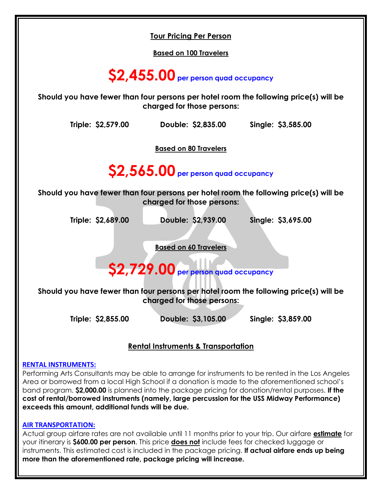| <b>Tour Pricing Per Person</b>                                                                                      |                    |                    |  |  |
|---------------------------------------------------------------------------------------------------------------------|--------------------|--------------------|--|--|
| <b>Based on 100 Travelers</b>                                                                                       |                    |                    |  |  |
| $$2,455.00$ per person quad occupancy                                                                               |                    |                    |  |  |
| Should you have fewer than four persons per hotel room the following price(s) will be<br>charged for those persons: |                    |                    |  |  |
| Triple: \$2,579.00                                                                                                  | Double: \$2,835.00 | Single: \$3,585.00 |  |  |
| <b>Based on 80 Travelers</b>                                                                                        |                    |                    |  |  |
| \$2,565.00 per person quad occupancy                                                                                |                    |                    |  |  |
| Should you have fewer than four persons per hotel room the following price(s) will be<br>charged for those persons: |                    |                    |  |  |
| Triple: \$2,689.00                                                                                                  | Double: \$2,939.00 | Single: \$3,695.00 |  |  |
| <b>Based on 60 Travelers</b>                                                                                        |                    |                    |  |  |
| \$2,729.00 per person quad occupancy                                                                                |                    |                    |  |  |
| Should you have fewer than four persons per hotel room the following price(s) will be<br>charged for those persons: |                    |                    |  |  |
| Triple: \$2,855.00                                                                                                  | Double: \$3,105.00 | Single: \$3,859.00 |  |  |
| <b>Rental Instruments &amp; Transportation</b>                                                                      |                    |                    |  |  |

#### **RENTAL INSTRUMENTS:**

Performing Arts Consultants may be able to arrange for instruments to be rented in the Los Angeles Area or borrowed from a local High School if a donation is made to the aforementioned school's band program. **\$2,000.00** is planned into the package pricing for donation/rental purposes. **If the cost of rental/borrowed instruments (namely, large percussion for the USS Midway Performance) exceeds this amount, additional funds will be due.**

#### **AIR TRANSPORTATION:**

Actual group airfare rates are not available until 11 months prior to your trip. Our airfare **estimate** for your itinerary is **\$600.00 per person**. This price **does not** include fees for checked luggage or instruments. This estimated cost is included in the package pricing. **If actual airfare ends up being more than the aforementioned rate, package pricing will increase.**